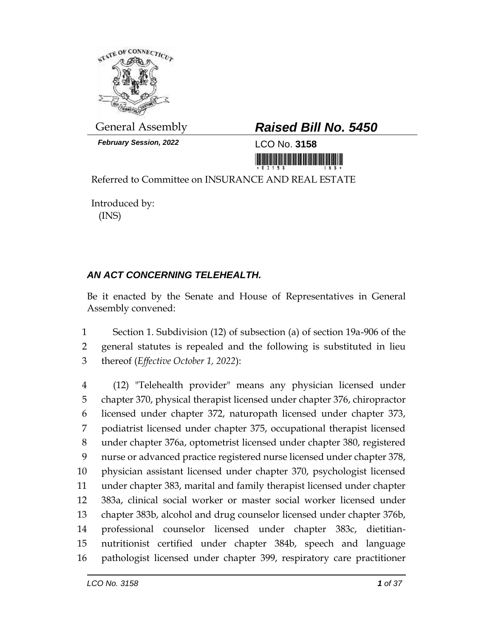

*February Session, 2022* LCO No. **3158**

# General Assembly *Raised Bill No. 5450*

<u> 1989 - Andrea Stadt British Stadt British Stadt British Stadt British Stadt British Stadt British Stadt British Stadt British Stadt British Stadt British Stadt British Stadt British Stadt British Stadt British Stadt Brit</u>

Referred to Committee on INSURANCE AND REAL ESTATE

Introduced by: (INS)

# *AN ACT CONCERNING TELEHEALTH.*

Be it enacted by the Senate and House of Representatives in General Assembly convened:

 Section 1. Subdivision (12) of subsection (a) of section 19a-906 of the general statutes is repealed and the following is substituted in lieu thereof (*Effective October 1, 2022*):

 (12) "Telehealth provider" means any physician licensed under chapter 370, physical therapist licensed under chapter 376, chiropractor licensed under chapter 372, naturopath licensed under chapter 373, podiatrist licensed under chapter 375, occupational therapist licensed under chapter 376a, optometrist licensed under chapter 380, registered nurse or advanced practice registered nurse licensed under chapter 378, physician assistant licensed under chapter 370, psychologist licensed under chapter 383, marital and family therapist licensed under chapter 383a, clinical social worker or master social worker licensed under chapter 383b, alcohol and drug counselor licensed under chapter 376b, professional counselor licensed under chapter 383c, dietitian- nutritionist certified under chapter 384b, speech and language pathologist licensed under chapter 399, respiratory care practitioner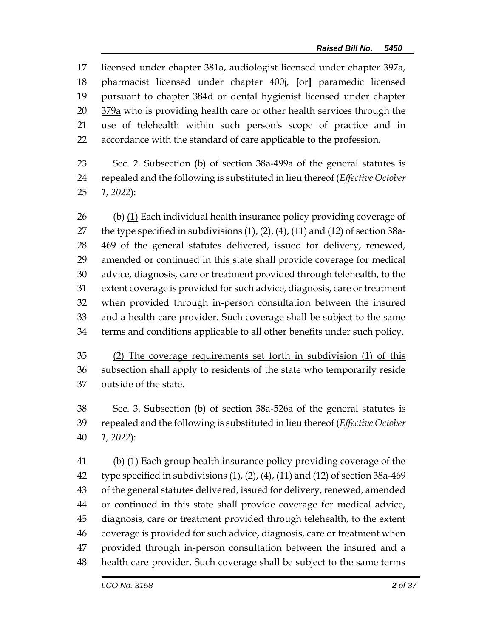licensed under chapter 381a, audiologist licensed under chapter 397a, pharmacist licensed under chapter 400j, **[**or**]** paramedic licensed 19 pursuant to chapter 384d or dental hygienist licensed under chapter 379a who is providing health care or other health services through the use of telehealth within such person's scope of practice and in accordance with the standard of care applicable to the profession.

 Sec. 2. Subsection (b) of section 38a-499a of the general statutes is repealed and the following is substituted in lieu thereof (*Effective October 1, 2022*):

 (b) (1) Each individual health insurance policy providing coverage of the type specified in subdivisions (1), (2), (4), (11) and (12) of section 38a- 469 of the general statutes delivered, issued for delivery, renewed, amended or continued in this state shall provide coverage for medical advice, diagnosis, care or treatment provided through telehealth, to the extent coverage is provided for such advice, diagnosis, care or treatment when provided through in-person consultation between the insured and a health care provider. Such coverage shall be subject to the same terms and conditions applicable to all other benefits under such policy.

 (2) The coverage requirements set forth in subdivision (1) of this subsection shall apply to residents of the state who temporarily reside 37 outside of the state.

 Sec. 3. Subsection (b) of section 38a-526a of the general statutes is repealed and the following is substituted in lieu thereof (*Effective October 1, 2022*):

41 (b) (1) Each group health insurance policy providing coverage of the type specified in subdivisions (1), (2), (4), (11) and (12) of section 38a-469 of the general statutes delivered, issued for delivery, renewed, amended or continued in this state shall provide coverage for medical advice, diagnosis, care or treatment provided through telehealth, to the extent coverage is provided for such advice, diagnosis, care or treatment when provided through in-person consultation between the insured and a health care provider. Such coverage shall be subject to the same terms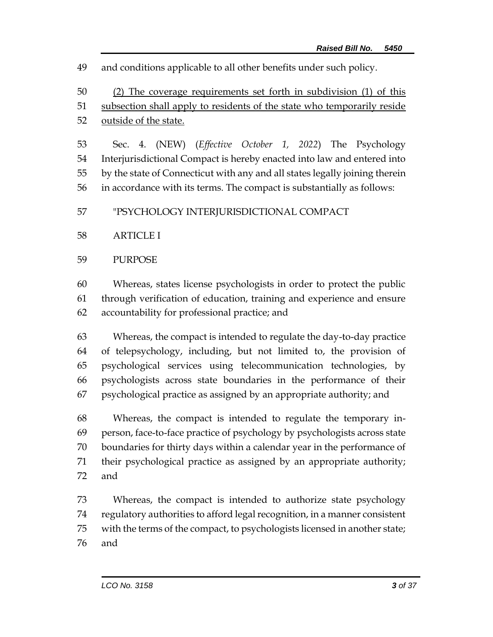and conditions applicable to all other benefits under such policy.

 (2) The coverage requirements set forth in subdivision (1) of this subsection shall apply to residents of the state who temporarily reside outside of the state.

 Sec. 4. (NEW) (*Effective October 1, 2022*) The Psychology Interjurisdictional Compact is hereby enacted into law and entered into by the state of Connecticut with any and all states legally joining therein in accordance with its terms. The compact is substantially as follows:

"PSYCHOLOGY INTERJURISDICTIONAL COMPACT

# ARTICLE I

### PURPOSE

 Whereas, states license psychologists in order to protect the public through verification of education, training and experience and ensure accountability for professional practice; and

 Whereas, the compact is intended to regulate the day-to-day practice of telepsychology, including, but not limited to, the provision of psychological services using telecommunication technologies, by psychologists across state boundaries in the performance of their psychological practice as assigned by an appropriate authority; and

 Whereas, the compact is intended to regulate the temporary in- person, face-to-face practice of psychology by psychologists across state boundaries for thirty days within a calendar year in the performance of their psychological practice as assigned by an appropriate authority; and

 Whereas, the compact is intended to authorize state psychology regulatory authorities to afford legal recognition, in a manner consistent with the terms of the compact, to psychologists licensed in another state; and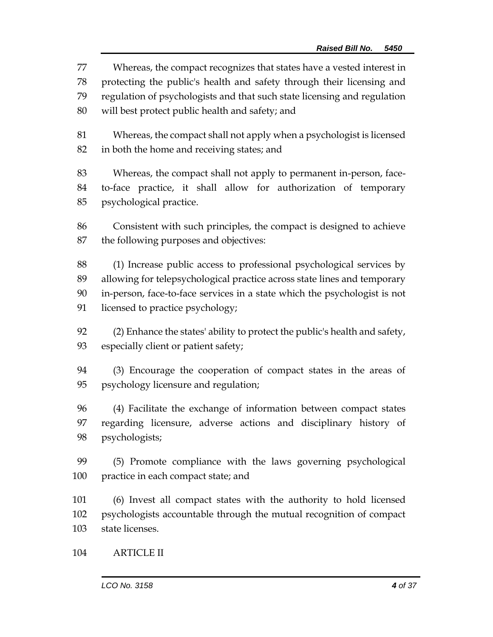Whereas, the compact recognizes that states have a vested interest in protecting the public's health and safety through their licensing and regulation of psychologists and that such state licensing and regulation will best protect public health and safety; and

 Whereas, the compact shall not apply when a psychologist is licensed in both the home and receiving states; and

 Whereas, the compact shall not apply to permanent in-person, face- to-face practice, it shall allow for authorization of temporary psychological practice.

 Consistent with such principles, the compact is designed to achieve the following purposes and objectives:

 (1) Increase public access to professional psychological services by allowing for telepsychological practice across state lines and temporary in-person, face-to-face services in a state which the psychologist is not licensed to practice psychology;

 (2) Enhance the states' ability to protect the public's health and safety, especially client or patient safety;

 (3) Encourage the cooperation of compact states in the areas of psychology licensure and regulation;

 (4) Facilitate the exchange of information between compact states regarding licensure, adverse actions and disciplinary history of psychologists;

 (5) Promote compliance with the laws governing psychological practice in each compact state; and

 (6) Invest all compact states with the authority to hold licensed psychologists accountable through the mutual recognition of compact state licenses.

ARTICLE II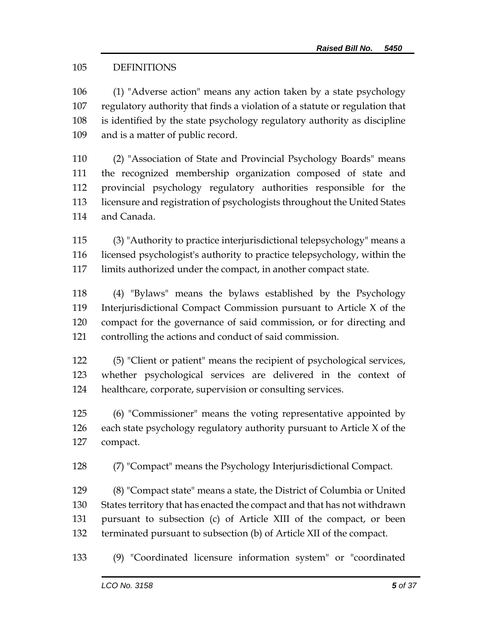# DEFINITIONS

 (1) "Adverse action" means any action taken by a state psychology regulatory authority that finds a violation of a statute or regulation that is identified by the state psychology regulatory authority as discipline and is a matter of public record.

 (2) "Association of State and Provincial Psychology Boards" means the recognized membership organization composed of state and provincial psychology regulatory authorities responsible for the licensure and registration of psychologists throughout the United States and Canada.

 (3) "Authority to practice interjurisdictional telepsychology" means a licensed psychologist's authority to practice telepsychology, within the limits authorized under the compact, in another compact state.

 (4) "Bylaws" means the bylaws established by the Psychology Interjurisdictional Compact Commission pursuant to Article X of the compact for the governance of said commission, or for directing and controlling the actions and conduct of said commission.

 (5) "Client or patient" means the recipient of psychological services, whether psychological services are delivered in the context of healthcare, corporate, supervision or consulting services.

 (6) "Commissioner" means the voting representative appointed by each state psychology regulatory authority pursuant to Article X of the compact.

(7) "Compact" means the Psychology Interjurisdictional Compact.

 (8) "Compact state" means a state, the District of Columbia or United States territory that has enacted the compact and that has not withdrawn pursuant to subsection (c) of Article XIII of the compact, or been terminated pursuant to subsection (b) of Article XII of the compact.

(9) "Coordinated licensure information system" or "coordinated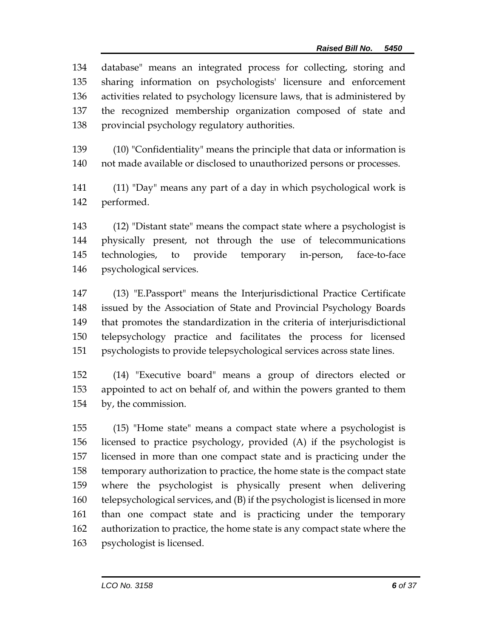database" means an integrated process for collecting, storing and sharing information on psychologists' licensure and enforcement activities related to psychology licensure laws, that is administered by the recognized membership organization composed of state and provincial psychology regulatory authorities.

 (10) "Confidentiality" means the principle that data or information is not made available or disclosed to unauthorized persons or processes.

 (11) "Day" means any part of a day in which psychological work is performed.

 (12) "Distant state" means the compact state where a psychologist is physically present, not through the use of telecommunications technologies, to provide temporary in-person, face-to-face psychological services.

 (13) "E.Passport" means the Interjurisdictional Practice Certificate issued by the Association of State and Provincial Psychology Boards that promotes the standardization in the criteria of interjurisdictional telepsychology practice and facilitates the process for licensed psychologists to provide telepsychological services across state lines.

 (14) "Executive board" means a group of directors elected or appointed to act on behalf of, and within the powers granted to them by, the commission.

 (15) "Home state" means a compact state where a psychologist is licensed to practice psychology, provided (A) if the psychologist is licensed in more than one compact state and is practicing under the temporary authorization to practice, the home state is the compact state where the psychologist is physically present when delivering telepsychological services, and (B) if the psychologist is licensed in more than one compact state and is practicing under the temporary authorization to practice, the home state is any compact state where the psychologist is licensed.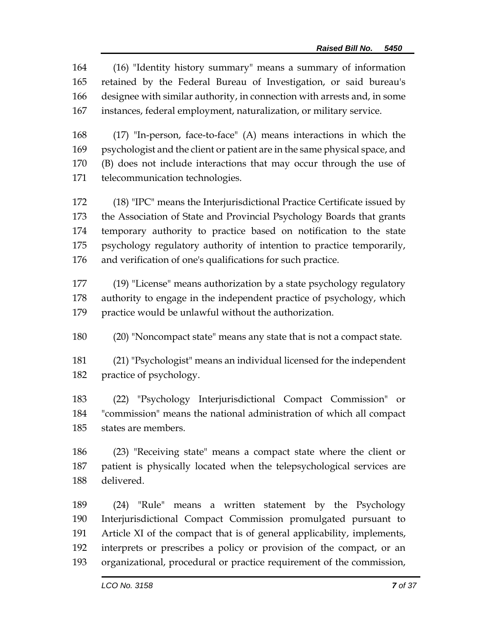(16) "Identity history summary" means a summary of information retained by the Federal Bureau of Investigation, or said bureau's designee with similar authority, in connection with arrests and, in some instances, federal employment, naturalization, or military service.

 (17) "In-person, face-to-face" (A) means interactions in which the psychologist and the client or patient are in the same physical space, and (B) does not include interactions that may occur through the use of telecommunication technologies.

 (18) "IPC" means the Interjurisdictional Practice Certificate issued by the Association of State and Provincial Psychology Boards that grants temporary authority to practice based on notification to the state psychology regulatory authority of intention to practice temporarily, and verification of one's qualifications for such practice.

 (19) "License" means authorization by a state psychology regulatory authority to engage in the independent practice of psychology, which practice would be unlawful without the authorization.

(20) "Noncompact state" means any state that is not a compact state.

 (21) "Psychologist" means an individual licensed for the independent practice of psychology.

 (22) "Psychology Interjurisdictional Compact Commission" or "commission" means the national administration of which all compact states are members.

 (23) "Receiving state" means a compact state where the client or patient is physically located when the telepsychological services are delivered.

 (24) "Rule" means a written statement by the Psychology Interjurisdictional Compact Commission promulgated pursuant to Article XI of the compact that is of general applicability, implements, interprets or prescribes a policy or provision of the compact, or an organizational, procedural or practice requirement of the commission,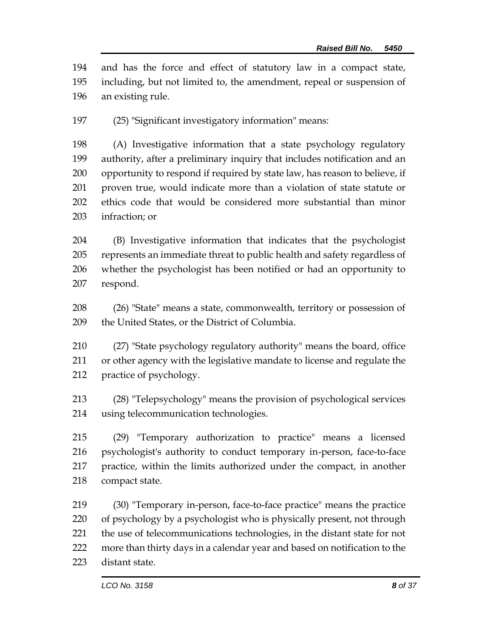and has the force and effect of statutory law in a compact state, including, but not limited to, the amendment, repeal or suspension of an existing rule.

(25) "Significant investigatory information" means:

 (A) Investigative information that a state psychology regulatory authority, after a preliminary inquiry that includes notification and an opportunity to respond if required by state law, has reason to believe, if proven true, would indicate more than a violation of state statute or ethics code that would be considered more substantial than minor infraction; or

 (B) Investigative information that indicates that the psychologist represents an immediate threat to public health and safety regardless of whether the psychologist has been notified or had an opportunity to respond.

 (26) "State" means a state, commonwealth, territory or possession of 209 the United States, or the District of Columbia.

 (27) "State psychology regulatory authority" means the board, office or other agency with the legislative mandate to license and regulate the practice of psychology.

 (28) "Telepsychology" means the provision of psychological services using telecommunication technologies.

 (29) "Temporary authorization to practice" means a licensed psychologist's authority to conduct temporary in-person, face-to-face practice, within the limits authorized under the compact, in another compact state.

 (30) "Temporary in-person, face-to-face practice" means the practice of psychology by a psychologist who is physically present, not through the use of telecommunications technologies, in the distant state for not more than thirty days in a calendar year and based on notification to the distant state.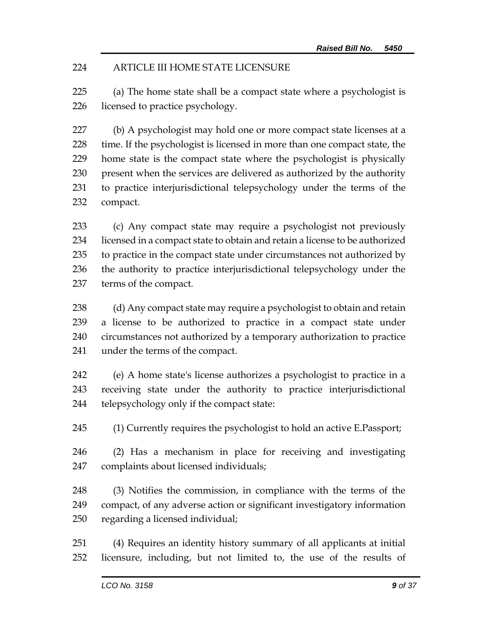# ARTICLE III HOME STATE LICENSURE

 (a) The home state shall be a compact state where a psychologist is licensed to practice psychology.

 (b) A psychologist may hold one or more compact state licenses at a time. If the psychologist is licensed in more than one compact state, the home state is the compact state where the psychologist is physically present when the services are delivered as authorized by the authority to practice interjurisdictional telepsychology under the terms of the compact.

 (c) Any compact state may require a psychologist not previously licensed in a compact state to obtain and retain a license to be authorized to practice in the compact state under circumstances not authorized by the authority to practice interjurisdictional telepsychology under the terms of the compact.

 (d) Any compact state may require a psychologist to obtain and retain a license to be authorized to practice in a compact state under circumstances not authorized by a temporary authorization to practice under the terms of the compact.

 (e) A home state's license authorizes a psychologist to practice in a receiving state under the authority to practice interjurisdictional telepsychology only if the compact state:

(1) Currently requires the psychologist to hold an active E.Passport;

 (2) Has a mechanism in place for receiving and investigating complaints about licensed individuals;

 (3) Notifies the commission, in compliance with the terms of the compact, of any adverse action or significant investigatory information regarding a licensed individual;

 (4) Requires an identity history summary of all applicants at initial licensure, including, but not limited to, the use of the results of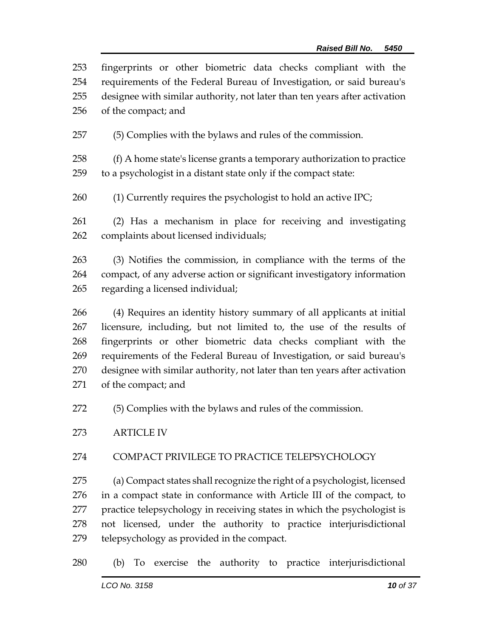| 253 | fingerprints or other biometric data checks compliant with the             |  |  |
|-----|----------------------------------------------------------------------------|--|--|
| 254 | requirements of the Federal Bureau of Investigation, or said bureau's      |  |  |
| 255 | designee with similar authority, not later than ten years after activation |  |  |
| 256 | of the compact; and                                                        |  |  |
| 257 | (5) Complies with the bylaws and rules of the commission.                  |  |  |
| 258 | (f) A home state's license grants a temporary authorization to practice    |  |  |
| 259 | to a psychologist in a distant state only if the compact state:            |  |  |
| 260 | $(1)$ Currently requires the psychologist to hold an active IPC;           |  |  |
| 261 | (2) Has a mechanism in place for receiving and investigating               |  |  |
| 262 | complaints about licensed individuals;                                     |  |  |
| 263 | (3) Notifies the commission, in compliance with the terms of the           |  |  |
| 264 | compact, of any adverse action or significant investigatory information    |  |  |
| 265 | regarding a licensed individual;                                           |  |  |
| 266 | (4) Requires an identity history summary of all applicants at initial      |  |  |
| 267 | licensure, including, but not limited to, the use of the results of        |  |  |

 fingerprints or other biometric data checks compliant with the requirements of the Federal Bureau of Investigation, or said bureau's designee with similar authority, not later than ten years after activation of the compact; and

(5) Complies with the bylaws and rules of the commission.

ARTICLE IV

# COMPACT PRIVILEGE TO PRACTICE TELEPSYCHOLOGY

 (a) Compact states shall recognize the right of a psychologist, licensed in a compact state in conformance with Article III of the compact, to practice telepsychology in receiving states in which the psychologist is not licensed, under the authority to practice interjurisdictional telepsychology as provided in the compact.

(b) To exercise the authority to practice interjurisdictional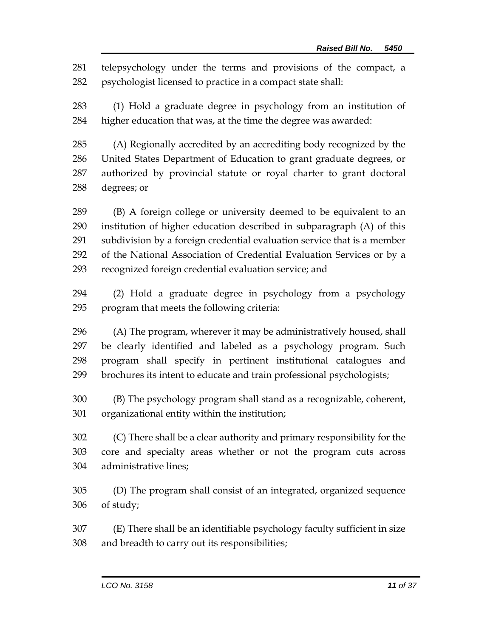telepsychology under the terms and provisions of the compact, a psychologist licensed to practice in a compact state shall:

 (1) Hold a graduate degree in psychology from an institution of higher education that was, at the time the degree was awarded:

 (A) Regionally accredited by an accrediting body recognized by the United States Department of Education to grant graduate degrees, or authorized by provincial statute or royal charter to grant doctoral degrees; or

 (B) A foreign college or university deemed to be equivalent to an institution of higher education described in subparagraph (A) of this subdivision by a foreign credential evaluation service that is a member of the National Association of Credential Evaluation Services or by a recognized foreign credential evaluation service; and

 (2) Hold a graduate degree in psychology from a psychology program that meets the following criteria:

 (A) The program, wherever it may be administratively housed, shall be clearly identified and labeled as a psychology program. Such program shall specify in pertinent institutional catalogues and brochures its intent to educate and train professional psychologists;

 (B) The psychology program shall stand as a recognizable, coherent, organizational entity within the institution;

 (C) There shall be a clear authority and primary responsibility for the core and specialty areas whether or not the program cuts across administrative lines;

 (D) The program shall consist of an integrated, organized sequence of study;

 (E) There shall be an identifiable psychology faculty sufficient in size and breadth to carry out its responsibilities;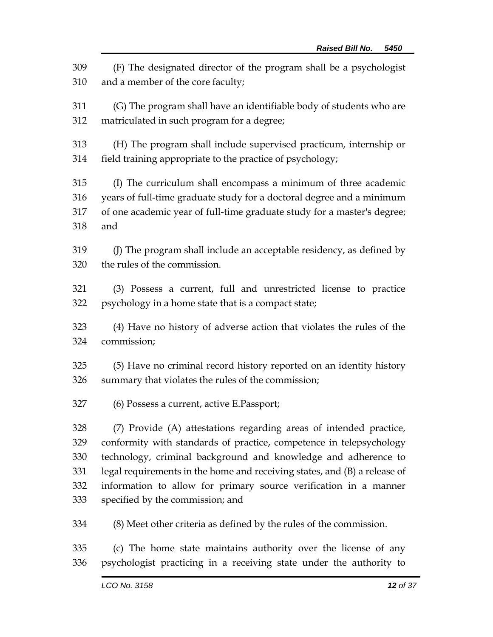(F) The designated director of the program shall be a psychologist and a member of the core faculty; (G) The program shall have an identifiable body of students who are matriculated in such program for a degree; (H) The program shall include supervised practicum, internship or field training appropriate to the practice of psychology; (I) The curriculum shall encompass a minimum of three academic years of full-time graduate study for a doctoral degree and a minimum of one academic year of full-time graduate study for a master's degree; and (J) The program shall include an acceptable residency, as defined by the rules of the commission. (3) Possess a current, full and unrestricted license to practice psychology in a home state that is a compact state; (4) Have no history of adverse action that violates the rules of the commission; (5) Have no criminal record history reported on an identity history summary that violates the rules of the commission; (6) Possess a current, active E.Passport; (7) Provide (A) attestations regarding areas of intended practice, conformity with standards of practice, competence in telepsychology technology, criminal background and knowledge and adherence to legal requirements in the home and receiving states, and (B) a release of information to allow for primary source verification in a manner specified by the commission; and (8) Meet other criteria as defined by the rules of the commission. (c) The home state maintains authority over the license of any psychologist practicing in a receiving state under the authority to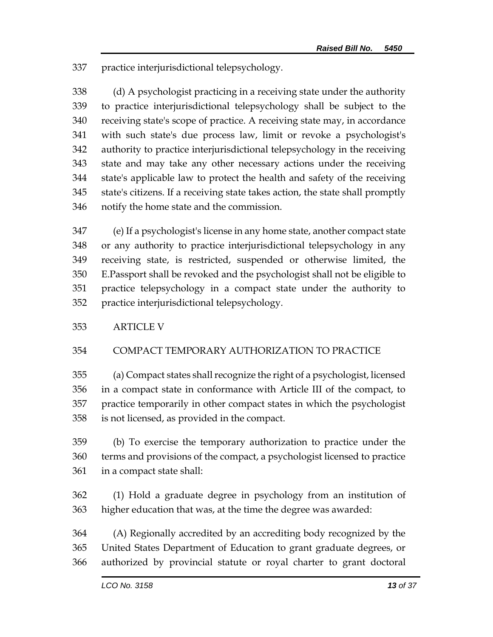practice interjurisdictional telepsychology.

 (d) A psychologist practicing in a receiving state under the authority to practice interjurisdictional telepsychology shall be subject to the receiving state's scope of practice. A receiving state may, in accordance with such state's due process law, limit or revoke a psychologist's authority to practice interjurisdictional telepsychology in the receiving state and may take any other necessary actions under the receiving state's applicable law to protect the health and safety of the receiving state's citizens. If a receiving state takes action, the state shall promptly notify the home state and the commission.

 (e) If a psychologist's license in any home state, another compact state or any authority to practice interjurisdictional telepsychology in any receiving state, is restricted, suspended or otherwise limited, the E.Passport shall be revoked and the psychologist shall not be eligible to practice telepsychology in a compact state under the authority to practice interjurisdictional telepsychology.

# ARTICLE V

# COMPACT TEMPORARY AUTHORIZATION TO PRACTICE

 (a) Compact states shall recognize the right of a psychologist, licensed in a compact state in conformance with Article III of the compact, to practice temporarily in other compact states in which the psychologist is not licensed, as provided in the compact.

 (b) To exercise the temporary authorization to practice under the terms and provisions of the compact, a psychologist licensed to practice in a compact state shall:

 (1) Hold a graduate degree in psychology from an institution of higher education that was, at the time the degree was awarded:

 (A) Regionally accredited by an accrediting body recognized by the United States Department of Education to grant graduate degrees, or authorized by provincial statute or royal charter to grant doctoral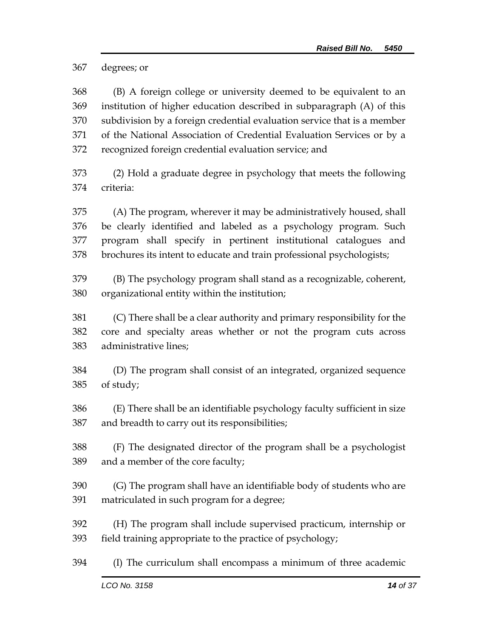degrees; or

 (B) A foreign college or university deemed to be equivalent to an institution of higher education described in subparagraph (A) of this subdivision by a foreign credential evaluation service that is a member of the National Association of Credential Evaluation Services or by a recognized foreign credential evaluation service; and

 (2) Hold a graduate degree in psychology that meets the following criteria:

 (A) The program, wherever it may be administratively housed, shall be clearly identified and labeled as a psychology program. Such program shall specify in pertinent institutional catalogues and brochures its intent to educate and train professional psychologists;

 (B) The psychology program shall stand as a recognizable, coherent, organizational entity within the institution;

 (C) There shall be a clear authority and primary responsibility for the core and specialty areas whether or not the program cuts across administrative lines;

 (D) The program shall consist of an integrated, organized sequence of study;

 (E) There shall be an identifiable psychology faculty sufficient in size and breadth to carry out its responsibilities;

 (F) The designated director of the program shall be a psychologist and a member of the core faculty;

- (G) The program shall have an identifiable body of students who are matriculated in such program for a degree;
- (H) The program shall include supervised practicum, internship or field training appropriate to the practice of psychology;
- (I) The curriculum shall encompass a minimum of three academic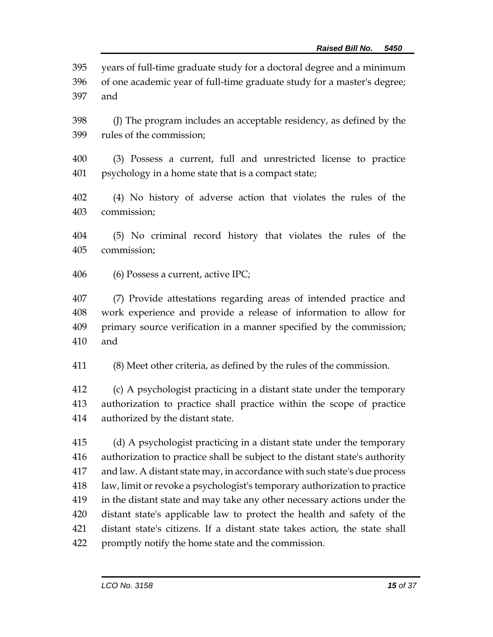years of full-time graduate study for a doctoral degree and a minimum

 of one academic year of full-time graduate study for a master's degree; and

 (J) The program includes an acceptable residency, as defined by the rules of the commission;

 (3) Possess a current, full and unrestricted license to practice psychology in a home state that is a compact state;

 (4) No history of adverse action that violates the rules of the commission;

 (5) No criminal record history that violates the rules of the commission;

(6) Possess a current, active IPC;

 (7) Provide attestations regarding areas of intended practice and work experience and provide a release of information to allow for primary source verification in a manner specified by the commission; and

(8) Meet other criteria, as defined by the rules of the commission.

 (c) A psychologist practicing in a distant state under the temporary authorization to practice shall practice within the scope of practice authorized by the distant state.

 (d) A psychologist practicing in a distant state under the temporary authorization to practice shall be subject to the distant state's authority and law. A distant state may, in accordance with such state's due process law, limit or revoke a psychologist's temporary authorization to practice in the distant state and may take any other necessary actions under the distant state's applicable law to protect the health and safety of the distant state's citizens. If a distant state takes action, the state shall promptly notify the home state and the commission.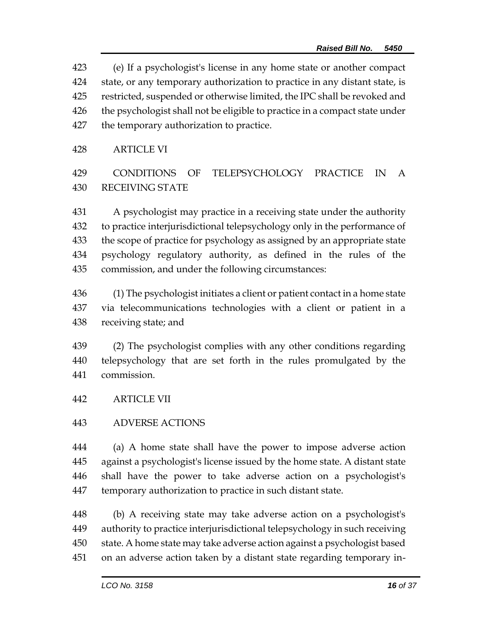(e) If a psychologist's license in any home state or another compact state, or any temporary authorization to practice in any distant state, is restricted, suspended or otherwise limited, the IPC shall be revoked and 426 the psychologist shall not be eligible to practice in a compact state under the temporary authorization to practice.

### ARTICLE VI

# CONDITIONS OF TELEPSYCHOLOGY PRACTICE IN A RECEIVING STATE

 A psychologist may practice in a receiving state under the authority to practice interjurisdictional telepsychology only in the performance of the scope of practice for psychology as assigned by an appropriate state psychology regulatory authority, as defined in the rules of the commission, and under the following circumstances:

 (1) The psychologist initiates a client or patient contact in a home state via telecommunications technologies with a client or patient in a receiving state; and

 (2) The psychologist complies with any other conditions regarding telepsychology that are set forth in the rules promulgated by the commission.

ARTICLE VII

# ADVERSE ACTIONS

 (a) A home state shall have the power to impose adverse action against a psychologist's license issued by the home state. A distant state shall have the power to take adverse action on a psychologist's temporary authorization to practice in such distant state.

 (b) A receiving state may take adverse action on a psychologist's authority to practice interjurisdictional telepsychology in such receiving state. A home state may take adverse action against a psychologist based on an adverse action taken by a distant state regarding temporary in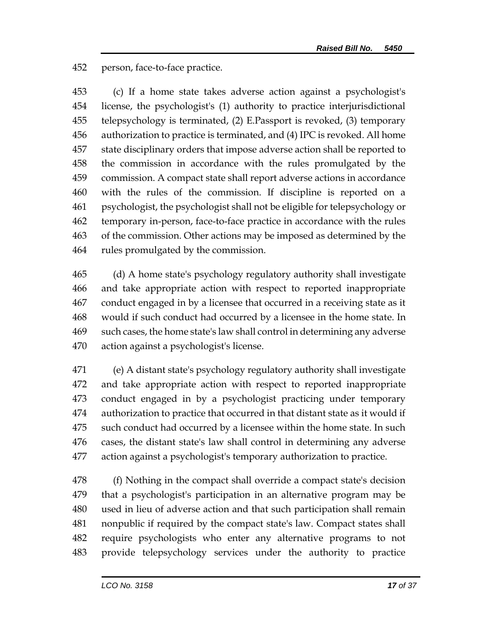person, face-to-face practice.

 (c) If a home state takes adverse action against a psychologist's license, the psychologist's (1) authority to practice interjurisdictional telepsychology is terminated, (2) E.Passport is revoked, (3) temporary authorization to practice is terminated, and (4) IPC is revoked. All home state disciplinary orders that impose adverse action shall be reported to the commission in accordance with the rules promulgated by the commission. A compact state shall report adverse actions in accordance with the rules of the commission. If discipline is reported on a psychologist, the psychologist shall not be eligible for telepsychology or temporary in-person, face-to-face practice in accordance with the rules of the commission. Other actions may be imposed as determined by the rules promulgated by the commission.

 (d) A home state's psychology regulatory authority shall investigate and take appropriate action with respect to reported inappropriate conduct engaged in by a licensee that occurred in a receiving state as it would if such conduct had occurred by a licensee in the home state. In such cases, the home state's law shall control in determining any adverse action against a psychologist's license.

 (e) A distant state's psychology regulatory authority shall investigate and take appropriate action with respect to reported inappropriate conduct engaged in by a psychologist practicing under temporary authorization to practice that occurred in that distant state as it would if such conduct had occurred by a licensee within the home state. In such cases, the distant state's law shall control in determining any adverse action against a psychologist's temporary authorization to practice.

 (f) Nothing in the compact shall override a compact state's decision that a psychologist's participation in an alternative program may be used in lieu of adverse action and that such participation shall remain nonpublic if required by the compact state's law. Compact states shall require psychologists who enter any alternative programs to not provide telepsychology services under the authority to practice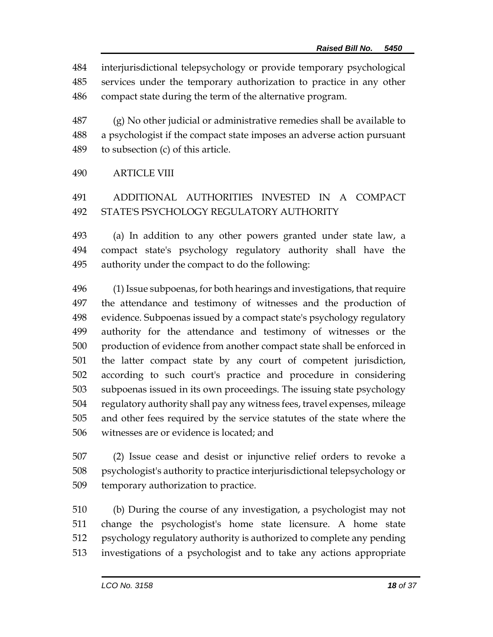interjurisdictional telepsychology or provide temporary psychological services under the temporary authorization to practice in any other compact state during the term of the alternative program.

 (g) No other judicial or administrative remedies shall be available to a psychologist if the compact state imposes an adverse action pursuant to subsection (c) of this article.

#### ARTICLE VIII

# ADDITIONAL AUTHORITIES INVESTED IN A COMPACT STATE'S PSYCHOLOGY REGULATORY AUTHORITY

 (a) In addition to any other powers granted under state law, a compact state's psychology regulatory authority shall have the authority under the compact to do the following:

 (1) Issue subpoenas, for both hearings and investigations, that require the attendance and testimony of witnesses and the production of evidence. Subpoenas issued by a compact state's psychology regulatory authority for the attendance and testimony of witnesses or the production of evidence from another compact state shall be enforced in the latter compact state by any court of competent jurisdiction, according to such court's practice and procedure in considering subpoenas issued in its own proceedings. The issuing state psychology regulatory authority shall pay any witness fees, travel expenses, mileage and other fees required by the service statutes of the state where the witnesses are or evidence is located; and

 (2) Issue cease and desist or injunctive relief orders to revoke a psychologist's authority to practice interjurisdictional telepsychology or temporary authorization to practice.

 (b) During the course of any investigation, a psychologist may not change the psychologist's home state licensure. A home state psychology regulatory authority is authorized to complete any pending investigations of a psychologist and to take any actions appropriate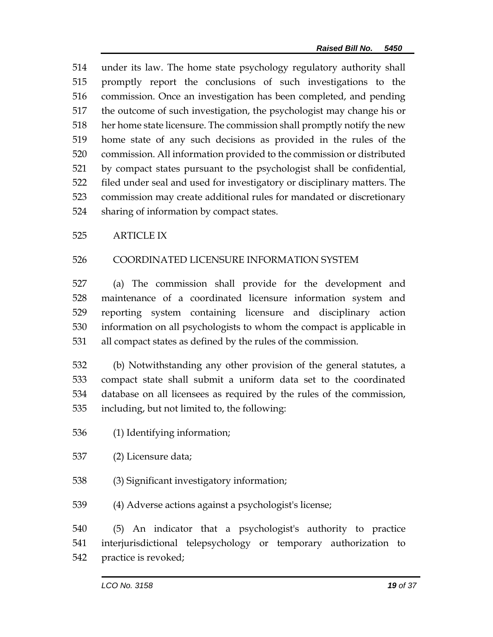under its law. The home state psychology regulatory authority shall promptly report the conclusions of such investigations to the commission. Once an investigation has been completed, and pending the outcome of such investigation, the psychologist may change his or her home state licensure. The commission shall promptly notify the new home state of any such decisions as provided in the rules of the commission. All information provided to the commission or distributed by compact states pursuant to the psychologist shall be confidential, filed under seal and used for investigatory or disciplinary matters. The commission may create additional rules for mandated or discretionary sharing of information by compact states.

### ARTICLE IX

# COORDINATED LICENSURE INFORMATION SYSTEM

 (a) The commission shall provide for the development and maintenance of a coordinated licensure information system and reporting system containing licensure and disciplinary action information on all psychologists to whom the compact is applicable in all compact states as defined by the rules of the commission.

 (b) Notwithstanding any other provision of the general statutes, a compact state shall submit a uniform data set to the coordinated database on all licensees as required by the rules of the commission, including, but not limited to, the following:

- (1) Identifying information;
- (2) Licensure data;
- (3) Significant investigatory information;
- (4) Adverse actions against a psychologist's license;

 (5) An indicator that a psychologist's authority to practice interjurisdictional telepsychology or temporary authorization to practice is revoked;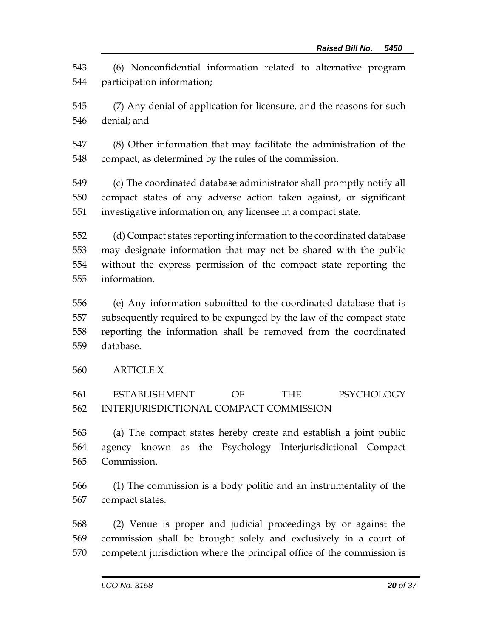(6) Nonconfidential information related to alternative program participation information;

- (7) Any denial of application for licensure, and the reasons for such denial; and
- (8) Other information that may facilitate the administration of the compact, as determined by the rules of the commission.
- (c) The coordinated database administrator shall promptly notify all compact states of any adverse action taken against, or significant investigative information on, any licensee in a compact state.
- (d) Compact states reporting information to the coordinated database may designate information that may not be shared with the public without the express permission of the compact state reporting the information.
- (e) Any information submitted to the coordinated database that is subsequently required to be expunged by the law of the compact state reporting the information shall be removed from the coordinated database.
- ARTICLE X

# ESTABLISHMENT OF THE PSYCHOLOGY INTERJURISDICTIONAL COMPACT COMMISSION

- (a) The compact states hereby create and establish a joint public agency known as the Psychology Interjurisdictional Compact Commission.
- (1) The commission is a body politic and an instrumentality of the compact states.
- (2) Venue is proper and judicial proceedings by or against the commission shall be brought solely and exclusively in a court of competent jurisdiction where the principal office of the commission is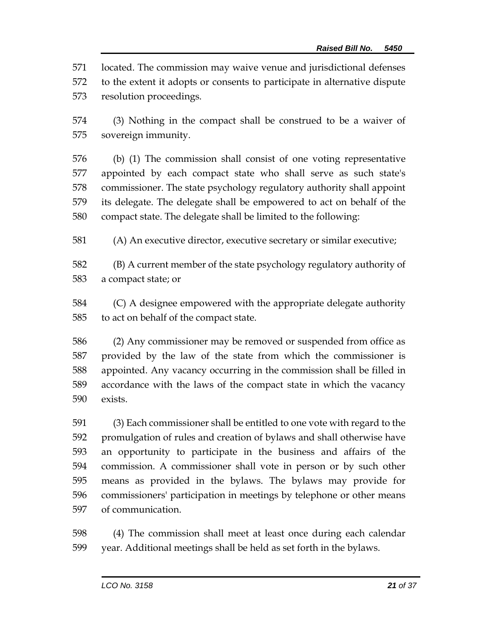located. The commission may waive venue and jurisdictional defenses

 to the extent it adopts or consents to participate in alternative dispute resolution proceedings.

 (3) Nothing in the compact shall be construed to be a waiver of sovereign immunity.

 (b) (1) The commission shall consist of one voting representative appointed by each compact state who shall serve as such state's commissioner. The state psychology regulatory authority shall appoint its delegate. The delegate shall be empowered to act on behalf of the compact state. The delegate shall be limited to the following:

(A) An executive director, executive secretary or similar executive;

 (B) A current member of the state psychology regulatory authority of a compact state; or

 (C) A designee empowered with the appropriate delegate authority to act on behalf of the compact state.

 (2) Any commissioner may be removed or suspended from office as provided by the law of the state from which the commissioner is appointed. Any vacancy occurring in the commission shall be filled in accordance with the laws of the compact state in which the vacancy exists.

 (3) Each commissioner shall be entitled to one vote with regard to the promulgation of rules and creation of bylaws and shall otherwise have an opportunity to participate in the business and affairs of the commission. A commissioner shall vote in person or by such other means as provided in the bylaws. The bylaws may provide for commissioners' participation in meetings by telephone or other means of communication.

 (4) The commission shall meet at least once during each calendar year. Additional meetings shall be held as set forth in the bylaws.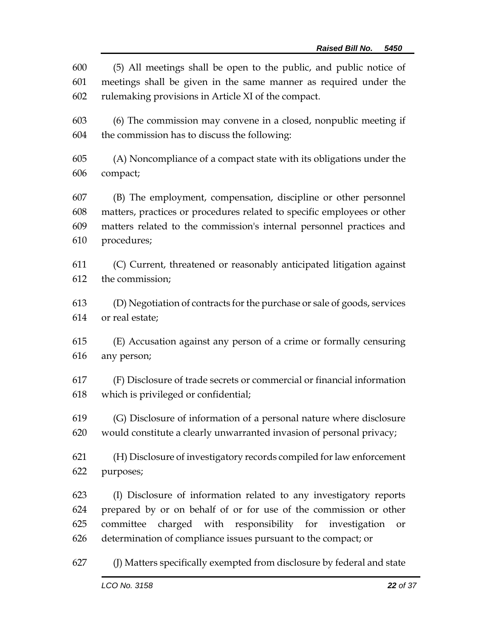| 600 | (5) All meetings shall be open to the public, and public notice of       |  |  |
|-----|--------------------------------------------------------------------------|--|--|
| 601 | meetings shall be given in the same manner as required under the         |  |  |
| 602 | rulemaking provisions in Article XI of the compact.                      |  |  |
| 603 | (6) The commission may convene in a closed, nonpublic meeting if         |  |  |
| 604 | the commission has to discuss the following:                             |  |  |
| 605 | (A) Noncompliance of a compact state with its obligations under the      |  |  |
| 606 | compact;                                                                 |  |  |
| 607 | (B) The employment, compensation, discipline or other personnel          |  |  |
| 608 | matters, practices or procedures related to specific employees or other  |  |  |
| 609 | matters related to the commission's internal personnel practices and     |  |  |
| 610 | procedures;                                                              |  |  |
| 611 | (C) Current, threatened or reasonably anticipated litigation against     |  |  |
| 612 | the commission;                                                          |  |  |
| 613 | (D) Negotiation of contracts for the purchase or sale of goods, services |  |  |
| 614 | or real estate;                                                          |  |  |
| 615 | (E) Accusation against any person of a crime or formally censuring       |  |  |
| 616 | any person;                                                              |  |  |
| 617 | (F) Disclosure of trade secrets or commercial or financial information   |  |  |
| 618 | which is privileged or confidential;                                     |  |  |
| 619 | (G) Disclosure of information of a personal nature where disclosure      |  |  |
| 620 | would constitute a clearly unwarranted invasion of personal privacy;     |  |  |
| 621 | (H) Disclosure of investigatory records compiled for law enforcement     |  |  |
| 622 | purposes;                                                                |  |  |
| 623 | (I) Disclosure of information related to any investigatory reports       |  |  |
| 624 | prepared by or on behalf of or for use of the commission or other        |  |  |
| 625 | committee charged with responsibility for investigation<br>or            |  |  |
| 626 | determination of compliance issues pursuant to the compact; or           |  |  |
| 627 | (J) Matters specifically exempted from disclosure by federal and state   |  |  |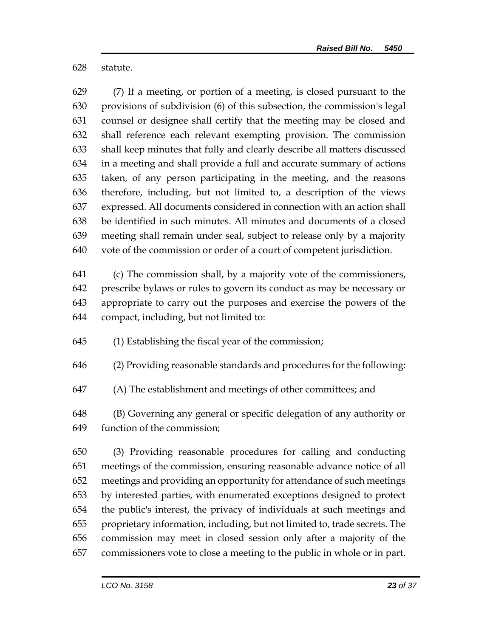statute.

 (7) If a meeting, or portion of a meeting, is closed pursuant to the provisions of subdivision (6) of this subsection, the commission's legal counsel or designee shall certify that the meeting may be closed and shall reference each relevant exempting provision. The commission shall keep minutes that fully and clearly describe all matters discussed in a meeting and shall provide a full and accurate summary of actions taken, of any person participating in the meeting, and the reasons therefore, including, but not limited to, a description of the views expressed. All documents considered in connection with an action shall be identified in such minutes. All minutes and documents of a closed meeting shall remain under seal, subject to release only by a majority vote of the commission or order of a court of competent jurisdiction.

 (c) The commission shall, by a majority vote of the commissioners, prescribe bylaws or rules to govern its conduct as may be necessary or appropriate to carry out the purposes and exercise the powers of the compact, including, but not limited to:

(1) Establishing the fiscal year of the commission;

(2) Providing reasonable standards and procedures for the following:

(A) The establishment and meetings of other committees; and

 (B) Governing any general or specific delegation of any authority or function of the commission;

 (3) Providing reasonable procedures for calling and conducting meetings of the commission, ensuring reasonable advance notice of all meetings and providing an opportunity for attendance of such meetings by interested parties, with enumerated exceptions designed to protect the public's interest, the privacy of individuals at such meetings and proprietary information, including, but not limited to, trade secrets. The commission may meet in closed session only after a majority of the commissioners vote to close a meeting to the public in whole or in part.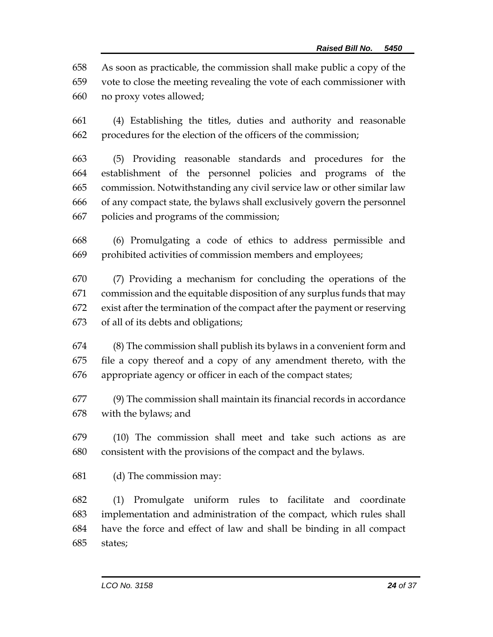As soon as practicable, the commission shall make public a copy of the

 vote to close the meeting revealing the vote of each commissioner with no proxy votes allowed;

 (4) Establishing the titles, duties and authority and reasonable procedures for the election of the officers of the commission;

 (5) Providing reasonable standards and procedures for the establishment of the personnel policies and programs of the commission. Notwithstanding any civil service law or other similar law of any compact state, the bylaws shall exclusively govern the personnel policies and programs of the commission;

 (6) Promulgating a code of ethics to address permissible and prohibited activities of commission members and employees;

 (7) Providing a mechanism for concluding the operations of the commission and the equitable disposition of any surplus funds that may exist after the termination of the compact after the payment or reserving of all of its debts and obligations;

 (8) The commission shall publish its bylaws in a convenient form and file a copy thereof and a copy of any amendment thereto, with the appropriate agency or officer in each of the compact states;

 (9) The commission shall maintain its financial records in accordance with the bylaws; and

 (10) The commission shall meet and take such actions as are consistent with the provisions of the compact and the bylaws.

(d) The commission may:

 (1) Promulgate uniform rules to facilitate and coordinate implementation and administration of the compact, which rules shall have the force and effect of law and shall be binding in all compact states;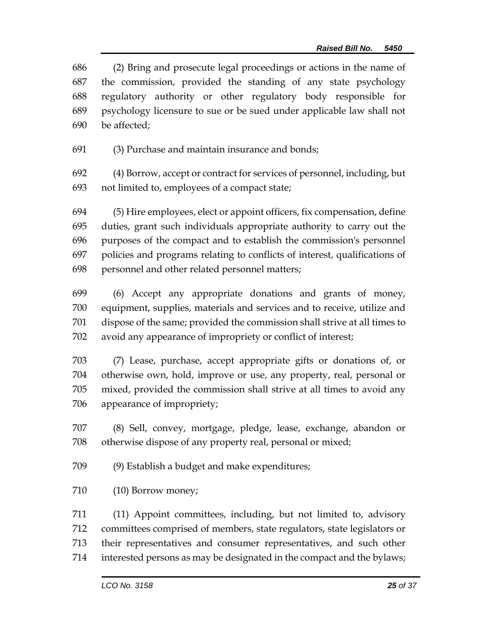(2) Bring and prosecute legal proceedings or actions in the name of the commission, provided the standing of any state psychology regulatory authority or other regulatory body responsible for psychology licensure to sue or be sued under applicable law shall not be affected;

(3) Purchase and maintain insurance and bonds;

 (4) Borrow, accept or contract for services of personnel, including, but not limited to, employees of a compact state;

 (5) Hire employees, elect or appoint officers, fix compensation, define duties, grant such individuals appropriate authority to carry out the purposes of the compact and to establish the commission's personnel policies and programs relating to conflicts of interest, qualifications of personnel and other related personnel matters;

 (6) Accept any appropriate donations and grants of money, equipment, supplies, materials and services and to receive, utilize and dispose of the same; provided the commission shall strive at all times to avoid any appearance of impropriety or conflict of interest;

 (7) Lease, purchase, accept appropriate gifts or donations of, or otherwise own, hold, improve or use, any property, real, personal or mixed, provided the commission shall strive at all times to avoid any appearance of impropriety;

 (8) Sell, convey, mortgage, pledge, lease, exchange, abandon or otherwise dispose of any property real, personal or mixed;

(9) Establish a budget and make expenditures;

(10) Borrow money;

 (11) Appoint committees, including, but not limited to, advisory committees comprised of members, state regulators, state legislators or their representatives and consumer representatives, and such other interested persons as may be designated in the compact and the bylaws;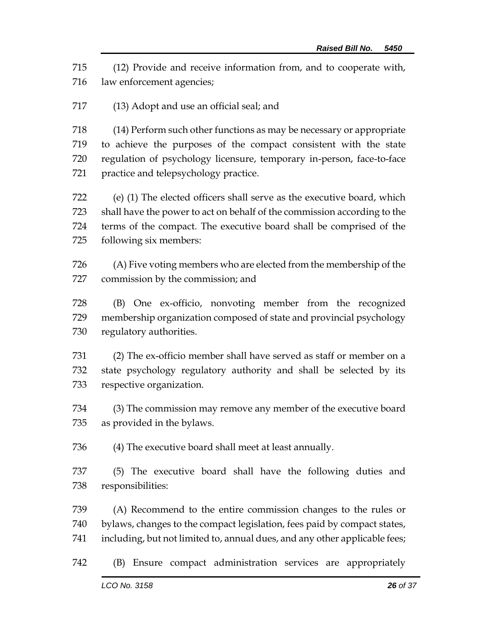(12) Provide and receive information from, and to cooperate with, law enforcement agencies;

(13) Adopt and use an official seal; and

 (14) Perform such other functions as may be necessary or appropriate to achieve the purposes of the compact consistent with the state regulation of psychology licensure, temporary in-person, face-to-face practice and telepsychology practice.

 (e) (1) The elected officers shall serve as the executive board, which shall have the power to act on behalf of the commission according to the terms of the compact. The executive board shall be comprised of the following six members:

 (A) Five voting members who are elected from the membership of the commission by the commission; and

 (B) One ex-officio, nonvoting member from the recognized membership organization composed of state and provincial psychology regulatory authorities.

 (2) The ex-officio member shall have served as staff or member on a state psychology regulatory authority and shall be selected by its respective organization.

 (3) The commission may remove any member of the executive board as provided in the bylaws.

(4) The executive board shall meet at least annually.

 (5) The executive board shall have the following duties and responsibilities:

 (A) Recommend to the entire commission changes to the rules or bylaws, changes to the compact legislation, fees paid by compact states, including, but not limited to, annual dues, and any other applicable fees;

(B) Ensure compact administration services are appropriately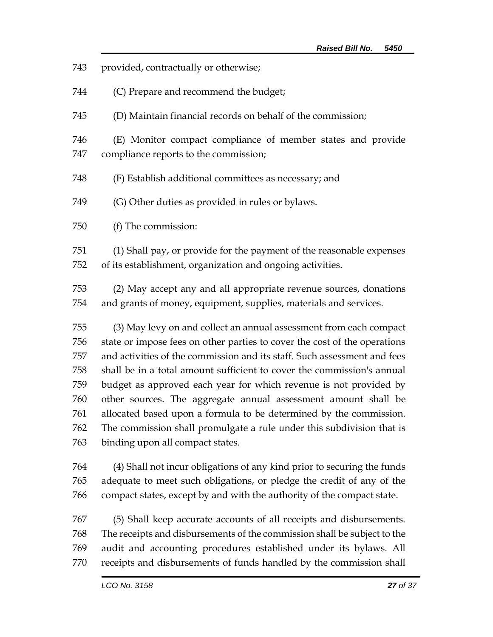| 743 | provided, contractually or otherwise;                                     |  |  |
|-----|---------------------------------------------------------------------------|--|--|
| 744 | (C) Prepare and recommend the budget;                                     |  |  |
| 745 | (D) Maintain financial records on behalf of the commission;               |  |  |
| 746 | (E) Monitor compact compliance of member states and provide               |  |  |
| 747 | compliance reports to the commission;                                     |  |  |
| 748 | (F) Establish additional committees as necessary; and                     |  |  |
| 749 | (G) Other duties as provided in rules or bylaws.                          |  |  |
| 750 | (f) The commission:                                                       |  |  |
| 751 | (1) Shall pay, or provide for the payment of the reasonable expenses      |  |  |
| 752 | of its establishment, organization and ongoing activities.                |  |  |
| 753 | (2) May accept any and all appropriate revenue sources, donations         |  |  |
| 754 | and grants of money, equipment, supplies, materials and services.         |  |  |
| 755 | (3) May levy on and collect an annual assessment from each compact        |  |  |
| 756 | state or impose fees on other parties to cover the cost of the operations |  |  |
| 757 | and activities of the commission and its staff. Such assessment and fees  |  |  |
| 758 | shall be in a total amount sufficient to cover the commission's annual    |  |  |
| 759 | budget as approved each year for which revenue is not provided by         |  |  |
| 760 | other sources. The aggregate annual assessment amount shall be            |  |  |
| 761 | allocated based upon a formula to be determined by the commission.        |  |  |
| 762 | The commission shall promulgate a rule under this subdivision that is     |  |  |
| 763 | binding upon all compact states.                                          |  |  |
| 764 | (4) Shall not incur obligations of any kind prior to securing the funds   |  |  |
| 765 | adequate to meet such obligations, or pledge the credit of any of the     |  |  |
| 766 | compact states, except by and with the authority of the compact state.    |  |  |
| 767 | (5) Shall keep accurate accounts of all receipts and disbursements.       |  |  |
| 768 | The receipts and disbursements of the commission shall be subject to the  |  |  |
| 769 | audit and accounting procedures established under its bylaws. All         |  |  |
| 770 | receipts and disbursements of funds handled by the commission shall       |  |  |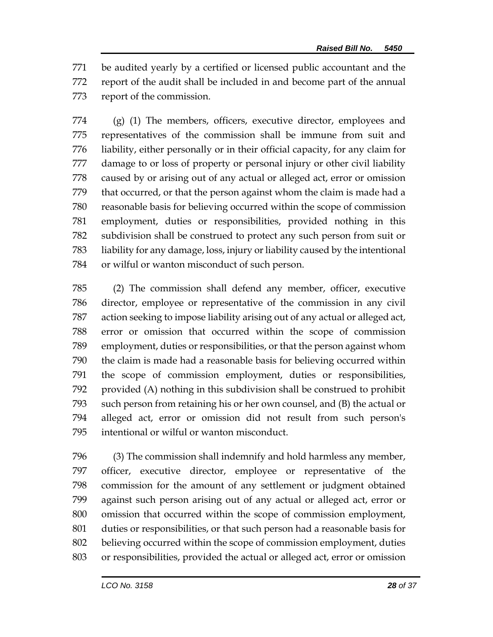be audited yearly by a certified or licensed public accountant and the report of the audit shall be included in and become part of the annual report of the commission.

 (g) (1) The members, officers, executive director, employees and representatives of the commission shall be immune from suit and liability, either personally or in their official capacity, for any claim for damage to or loss of property or personal injury or other civil liability caused by or arising out of any actual or alleged act, error or omission that occurred, or that the person against whom the claim is made had a reasonable basis for believing occurred within the scope of commission employment, duties or responsibilities, provided nothing in this subdivision shall be construed to protect any such person from suit or liability for any damage, loss, injury or liability caused by the intentional or wilful or wanton misconduct of such person.

 (2) The commission shall defend any member, officer, executive director, employee or representative of the commission in any civil action seeking to impose liability arising out of any actual or alleged act, error or omission that occurred within the scope of commission employment, duties or responsibilities, or that the person against whom the claim is made had a reasonable basis for believing occurred within the scope of commission employment, duties or responsibilities, provided (A) nothing in this subdivision shall be construed to prohibit such person from retaining his or her own counsel, and (B) the actual or alleged act, error or omission did not result from such person's intentional or wilful or wanton misconduct.

 (3) The commission shall indemnify and hold harmless any member, officer, executive director, employee or representative of the commission for the amount of any settlement or judgment obtained against such person arising out of any actual or alleged act, error or omission that occurred within the scope of commission employment, duties or responsibilities, or that such person had a reasonable basis for believing occurred within the scope of commission employment, duties or responsibilities, provided the actual or alleged act, error or omission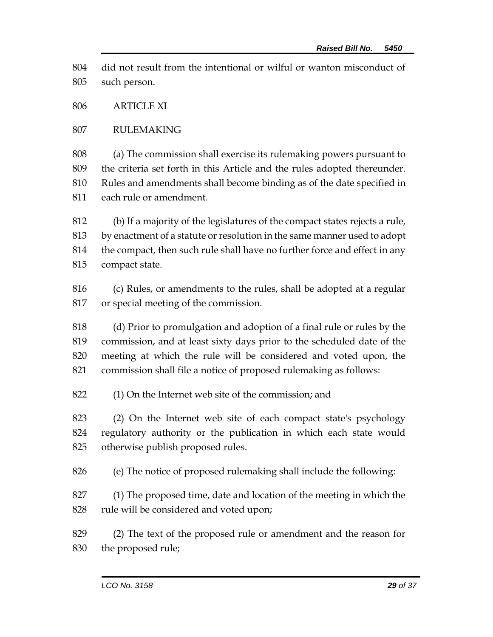did not result from the intentional or wilful or wanton misconduct of such person.

ARTICLE XI

RULEMAKING

 (a) The commission shall exercise its rulemaking powers pursuant to the criteria set forth in this Article and the rules adopted thereunder. Rules and amendments shall become binding as of the date specified in each rule or amendment.

 (b) If a majority of the legislatures of the compact states rejects a rule, by enactment of a statute or resolution in the same manner used to adopt the compact, then such rule shall have no further force and effect in any compact state.

 (c) Rules, or amendments to the rules, shall be adopted at a regular or special meeting of the commission.

 (d) Prior to promulgation and adoption of a final rule or rules by the commission, and at least sixty days prior to the scheduled date of the meeting at which the rule will be considered and voted upon, the commission shall file a notice of proposed rulemaking as follows:

(1) On the Internet web site of the commission; and

 (2) On the Internet web site of each compact state's psychology regulatory authority or the publication in which each state would otherwise publish proposed rules.

(e) The notice of proposed rulemaking shall include the following:

 (1) The proposed time, date and location of the meeting in which the rule will be considered and voted upon;

 (2) The text of the proposed rule or amendment and the reason for the proposed rule;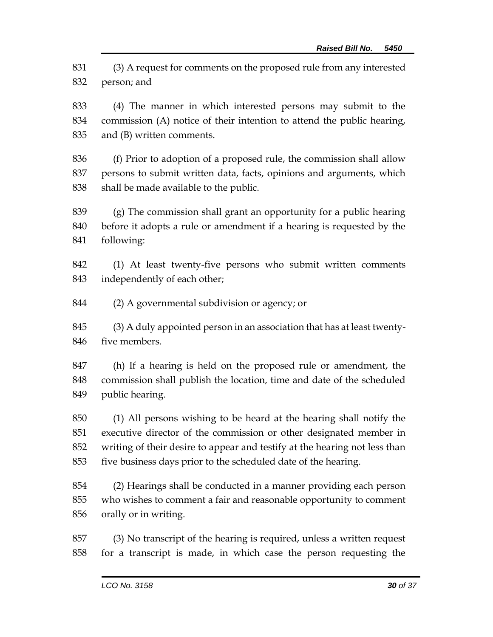(3) A request for comments on the proposed rule from any interested person; and

 (4) The manner in which interested persons may submit to the commission (A) notice of their intention to attend the public hearing, and (B) written comments.

 (f) Prior to adoption of a proposed rule, the commission shall allow persons to submit written data, facts, opinions and arguments, which shall be made available to the public.

 (g) The commission shall grant an opportunity for a public hearing before it adopts a rule or amendment if a hearing is requested by the following:

 (1) At least twenty-five persons who submit written comments independently of each other;

(2) A governmental subdivision or agency; or

 (3) A duly appointed person in an association that has at least twenty-five members.

 (h) If a hearing is held on the proposed rule or amendment, the commission shall publish the location, time and date of the scheduled public hearing.

 (1) All persons wishing to be heard at the hearing shall notify the executive director of the commission or other designated member in writing of their desire to appear and testify at the hearing not less than five business days prior to the scheduled date of the hearing.

 (2) Hearings shall be conducted in a manner providing each person who wishes to comment a fair and reasonable opportunity to comment orally or in writing.

 (3) No transcript of the hearing is required, unless a written request for a transcript is made, in which case the person requesting the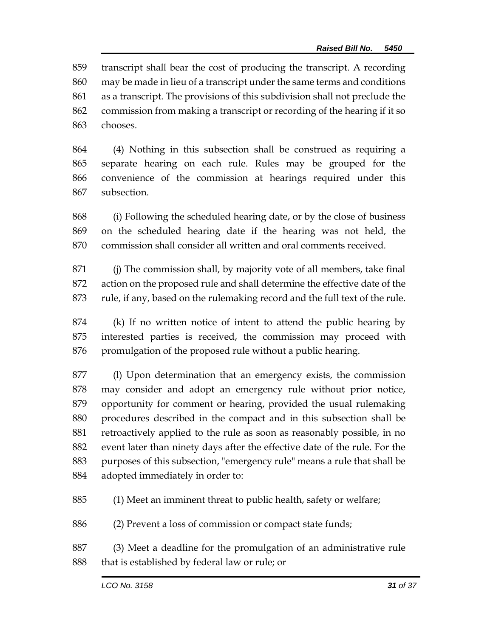transcript shall bear the cost of producing the transcript. A recording may be made in lieu of a transcript under the same terms and conditions as a transcript. The provisions of this subdivision shall not preclude the commission from making a transcript or recording of the hearing if it so chooses.

 (4) Nothing in this subsection shall be construed as requiring a separate hearing on each rule. Rules may be grouped for the convenience of the commission at hearings required under this subsection.

 (i) Following the scheduled hearing date, or by the close of business on the scheduled hearing date if the hearing was not held, the commission shall consider all written and oral comments received.

 (j) The commission shall, by majority vote of all members, take final action on the proposed rule and shall determine the effective date of the rule, if any, based on the rulemaking record and the full text of the rule.

 (k) If no written notice of intent to attend the public hearing by interested parties is received, the commission may proceed with 876 promulgation of the proposed rule without a public hearing.

 (l) Upon determination that an emergency exists, the commission may consider and adopt an emergency rule without prior notice, opportunity for comment or hearing, provided the usual rulemaking procedures described in the compact and in this subsection shall be retroactively applied to the rule as soon as reasonably possible, in no event later than ninety days after the effective date of the rule. For the purposes of this subsection, "emergency rule" means a rule that shall be adopted immediately in order to:

(1) Meet an imminent threat to public health, safety or welfare;

(2) Prevent a loss of commission or compact state funds;

 (3) Meet a deadline for the promulgation of an administrative rule that is established by federal law or rule; or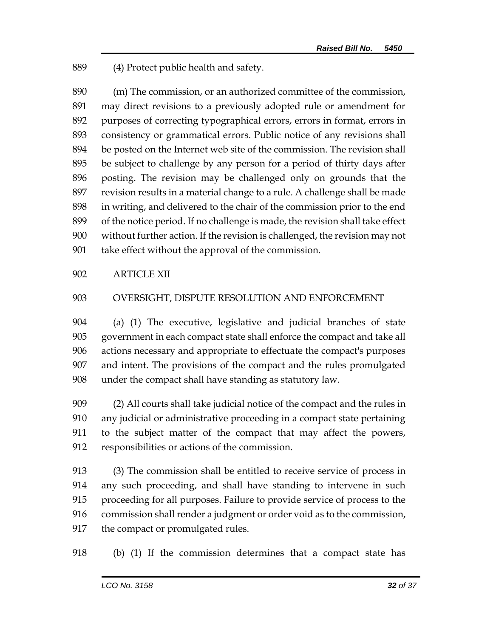(4) Protect public health and safety.

 (m) The commission, or an authorized committee of the commission, may direct revisions to a previously adopted rule or amendment for purposes of correcting typographical errors, errors in format, errors in consistency or grammatical errors. Public notice of any revisions shall be posted on the Internet web site of the commission. The revision shall be subject to challenge by any person for a period of thirty days after posting. The revision may be challenged only on grounds that the revision results in a material change to a rule. A challenge shall be made in writing, and delivered to the chair of the commission prior to the end of the notice period. If no challenge is made, the revision shall take effect without further action. If the revision is challenged, the revision may not take effect without the approval of the commission.

#### ARTICLE XII

#### OVERSIGHT, DISPUTE RESOLUTION AND ENFORCEMENT

 (a) (1) The executive, legislative and judicial branches of state government in each compact state shall enforce the compact and take all actions necessary and appropriate to effectuate the compact's purposes and intent. The provisions of the compact and the rules promulgated under the compact shall have standing as statutory law.

 (2) All courts shall take judicial notice of the compact and the rules in any judicial or administrative proceeding in a compact state pertaining to the subject matter of the compact that may affect the powers, responsibilities or actions of the commission.

 (3) The commission shall be entitled to receive service of process in any such proceeding, and shall have standing to intervene in such proceeding for all purposes. Failure to provide service of process to the commission shall render a judgment or order void as to the commission, the compact or promulgated rules.

(b) (1) If the commission determines that a compact state has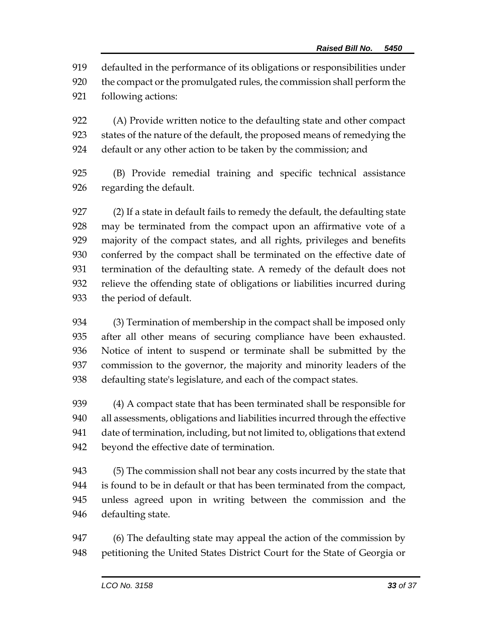defaulted in the performance of its obligations or responsibilities under the compact or the promulgated rules, the commission shall perform the following actions:

 (A) Provide written notice to the defaulting state and other compact states of the nature of the default, the proposed means of remedying the default or any other action to be taken by the commission; and

 (B) Provide remedial training and specific technical assistance regarding the default.

 (2) If a state in default fails to remedy the default, the defaulting state may be terminated from the compact upon an affirmative vote of a majority of the compact states, and all rights, privileges and benefits conferred by the compact shall be terminated on the effective date of termination of the defaulting state. A remedy of the default does not relieve the offending state of obligations or liabilities incurred during the period of default.

 (3) Termination of membership in the compact shall be imposed only after all other means of securing compliance have been exhausted. Notice of intent to suspend or terminate shall be submitted by the commission to the governor, the majority and minority leaders of the defaulting state's legislature, and each of the compact states.

 (4) A compact state that has been terminated shall be responsible for all assessments, obligations and liabilities incurred through the effective date of termination, including, but not limited to, obligations that extend beyond the effective date of termination.

 (5) The commission shall not bear any costs incurred by the state that is found to be in default or that has been terminated from the compact, unless agreed upon in writing between the commission and the defaulting state.

947 (6) The defaulting state may appeal the action of the commission by petitioning the United States District Court for the State of Georgia or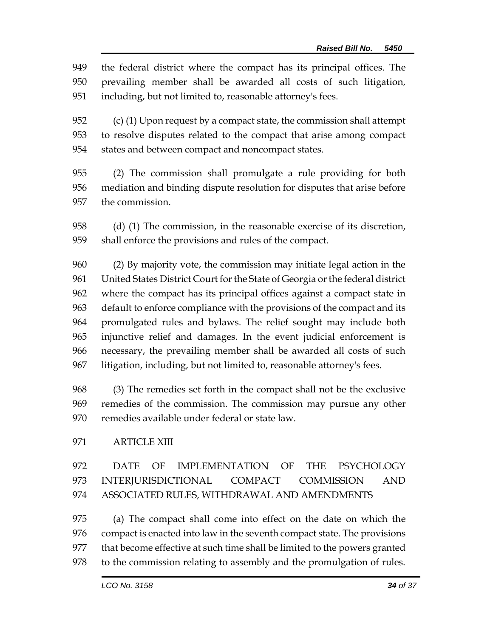the federal district where the compact has its principal offices. The prevailing member shall be awarded all costs of such litigation, including, but not limited to, reasonable attorney's fees.

 (c) (1) Upon request by a compact state, the commission shall attempt to resolve disputes related to the compact that arise among compact states and between compact and noncompact states.

 (2) The commission shall promulgate a rule providing for both mediation and binding dispute resolution for disputes that arise before the commission.

 (d) (1) The commission, in the reasonable exercise of its discretion, shall enforce the provisions and rules of the compact.

 (2) By majority vote, the commission may initiate legal action in the United States District Court for the State of Georgia or the federal district where the compact has its principal offices against a compact state in default to enforce compliance with the provisions of the compact and its promulgated rules and bylaws. The relief sought may include both injunctive relief and damages. In the event judicial enforcement is necessary, the prevailing member shall be awarded all costs of such litigation, including, but not limited to, reasonable attorney's fees.

 (3) The remedies set forth in the compact shall not be the exclusive remedies of the commission. The commission may pursue any other remedies available under federal or state law.

ARTICLE XIII

 DATE OF IMPLEMENTATION OF THE PSYCHOLOGY INTERJURISDICTIONAL COMPACT COMMISSION AND ASSOCIATED RULES, WITHDRAWAL AND AMENDMENTS

 (a) The compact shall come into effect on the date on which the compact is enacted into law in the seventh compact state. The provisions that become effective at such time shall be limited to the powers granted to the commission relating to assembly and the promulgation of rules.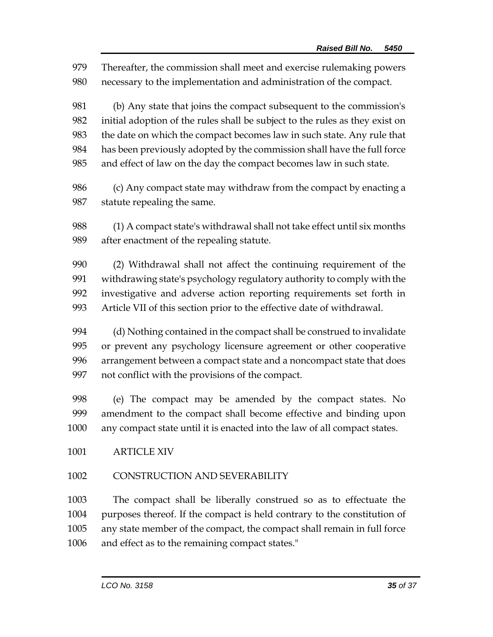Thereafter, the commission shall meet and exercise rulemaking powers necessary to the implementation and administration of the compact. (b) Any state that joins the compact subsequent to the commission's initial adoption of the rules shall be subject to the rules as they exist on the date on which the compact becomes law in such state. Any rule that has been previously adopted by the commission shall have the full force and effect of law on the day the compact becomes law in such state. (c) Any compact state may withdraw from the compact by enacting a statute repealing the same. (1) A compact state's withdrawal shall not take effect until six months after enactment of the repealing statute. (2) Withdrawal shall not affect the continuing requirement of the withdrawing state's psychology regulatory authority to comply with the investigative and adverse action reporting requirements set forth in Article VII of this section prior to the effective date of withdrawal. (d) Nothing contained in the compact shall be construed to invalidate or prevent any psychology licensure agreement or other cooperative arrangement between a compact state and a noncompact state that does not conflict with the provisions of the compact. (e) The compact may be amended by the compact states. No amendment to the compact shall become effective and binding upon any compact state until it is enacted into the law of all compact states. ARTICLE XIV CONSTRUCTION AND SEVERABILITY The compact shall be liberally construed so as to effectuate the purposes thereof. If the compact is held contrary to the constitution of

any state member of the compact, the compact shall remain in full force

and effect as to the remaining compact states."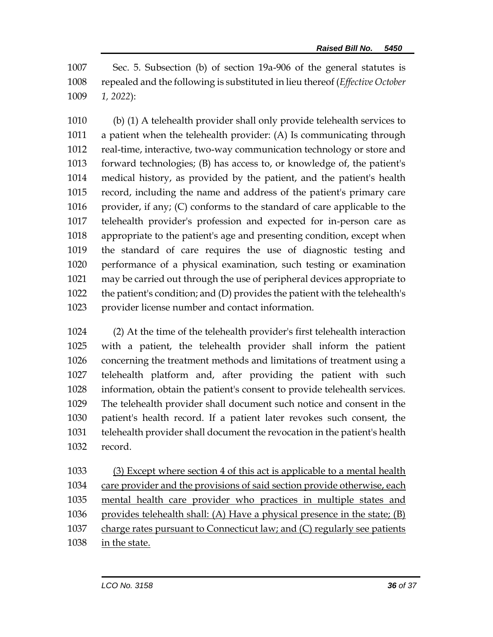Sec. 5. Subsection (b) of section 19a-906 of the general statutes is repealed and the following is substituted in lieu thereof (*Effective October 1, 2022*):

 (b) (1) A telehealth provider shall only provide telehealth services to a patient when the telehealth provider: (A) Is communicating through real-time, interactive, two-way communication technology or store and forward technologies; (B) has access to, or knowledge of, the patient's medical history, as provided by the patient, and the patient's health record, including the name and address of the patient's primary care provider, if any; (C) conforms to the standard of care applicable to the telehealth provider's profession and expected for in-person care as appropriate to the patient's age and presenting condition, except when the standard of care requires the use of diagnostic testing and performance of a physical examination, such testing or examination may be carried out through the use of peripheral devices appropriate to the patient's condition; and (D) provides the patient with the telehealth's provider license number and contact information.

 (2) At the time of the telehealth provider's first telehealth interaction with a patient, the telehealth provider shall inform the patient concerning the treatment methods and limitations of treatment using a telehealth platform and, after providing the patient with such information, obtain the patient's consent to provide telehealth services. The telehealth provider shall document such notice and consent in the patient's health record. If a patient later revokes such consent, the telehealth provider shall document the revocation in the patient's health record.

 (3) Except where section 4 of this act is applicable to a mental health care provider and the provisions of said section provide otherwise, each mental health care provider who practices in multiple states and provides telehealth shall: (A) Have a physical presence in the state; (B) charge rates pursuant to Connecticut law; and (C) regularly see patients in the state.